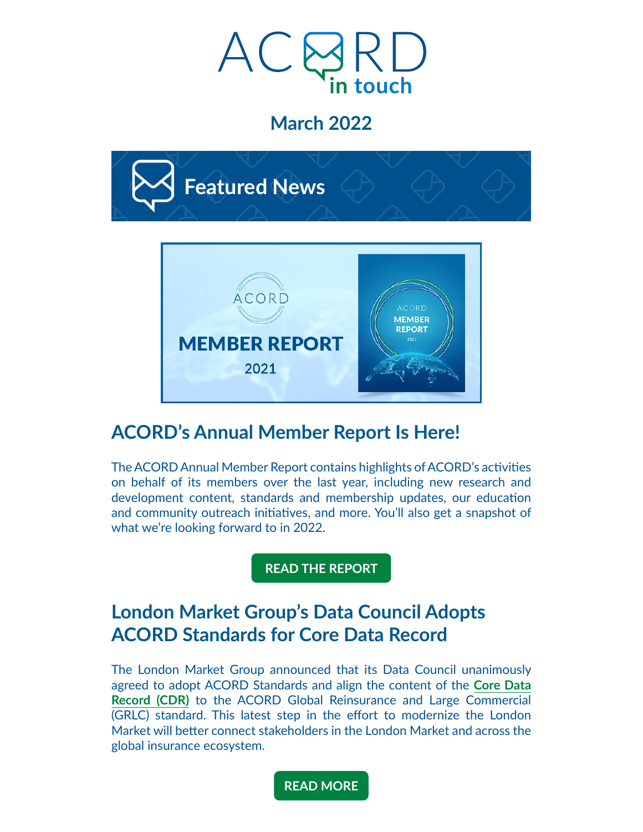

## **March 2022**



## **ACORD's Annual Member Report Is Here!**

The ACORD Annual Member Report contains highlights of ACORD's activities on behalf of its members over the last year, including new research and development content, standards and membership updates, our education and community outreach initiatives, and more. You'll also get a snapshot of what we're looking forward to in 2022.

**[READ THE REPORT](https://acord.createsend1.com/t/d-i-fluhiuy-l-j/)**

### **London Market Group's Data Council Adopts ACORD Standards for Core Data Record**

The London Market Group announced that its Data Council unanimously agreed to adopt ACORD Standards and align the content of the **[Core Data](https://acord.createsend1.com/t/d-i-fluhiuy-l-t/)  [Record \(CDR\)](https://acord.createsend1.com/t/d-i-fluhiuy-l-t/)** to the ACORD Global Reinsurance and Large Commercial (GRLC) standard. This latest step in the effort to modernize the London Market will better connect stakeholders in the London Market and across the global insurance ecosystem.

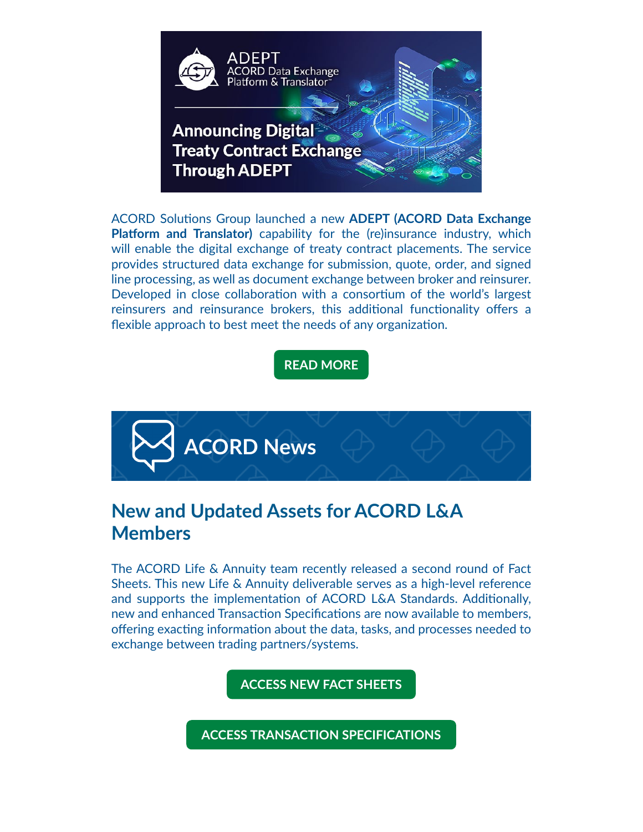

ACORD Solutions Group launched a new **ADEPT (ACORD Data Exchange Platform and Translator)** capability for the (re)insurance industry, which will enable the digital exchange of treaty contract placements. The service provides structured data exchange for submission, quote, order, and signed line processing, as well as document exchange between broker and reinsurer. Developed in close collaboration with a consortium of the world's largest reinsurers and reinsurance brokers, this additional functionality offers a flexible approach to best meet the needs of any organization.

**[READ MORE](https://acord.createsend1.com/t/d-i-fluhiuy-l-h/)**



## **New and Updated Assets for ACORD L&A Members**

The ACORD Life & Annuity team recently released a second round of Fact Sheets. This new Life & Annuity deliverable serves as a high-level reference and supports the implementation of ACORD L&A Standards. Additionally, new and enhanced Transaction Specifications are now available to members, offering exacting information about the data, tasks, and processes needed to exchange between trading partners/systems.

**[ACCESS NEW FACT SHEETS](https://acord.createsend1.com/t/d-i-fluhiuy-l-k/)**

**[ACCESS TRANSACTION SPECIFICATIONS](https://acord.createsend1.com/t/d-i-fluhiuy-l-u/)**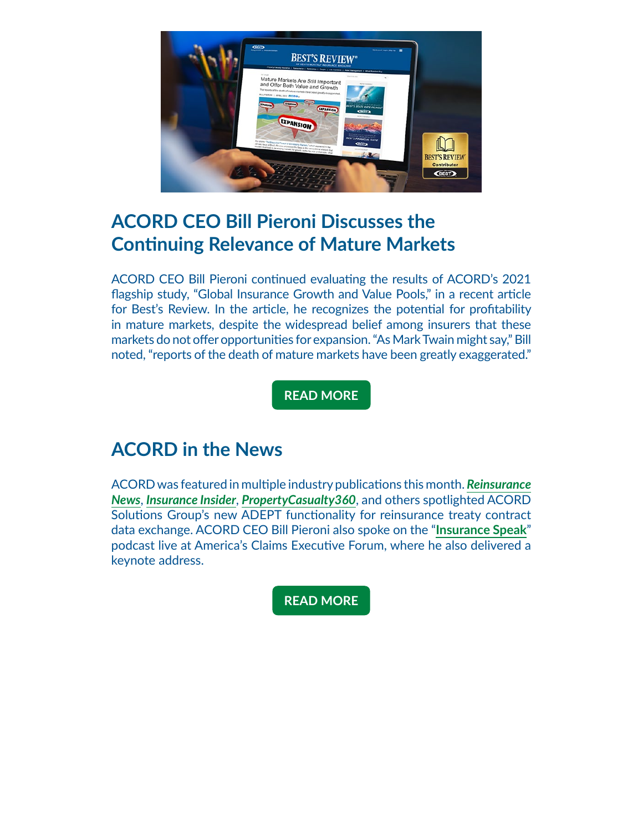

### **ACORD CEO Bill Pieroni Discusses the Continuing Relevance of Mature Markets**

ACORD CEO Bill Pieroni continued evaluating the results of ACORD's 2021 flagship study, "Global Insurance Growth and Value Pools," in a recent article for Best's Review. In the article, he recognizes the potential for profitability in mature markets, despite the widespread belief among insurers that these markets do not offer opportunities for expansion. "As Mark Twain might say," Bill noted, "reports of the death of mature markets have been greatly exaggerated."

**[READ MORE](https://acord.createsend1.com/t/d-i-fluhiuy-l-b/)**

### **ACORD in the News**

ACORD was featured in multiple industry publications this month. *[Reinsurance](https://acord.createsend1.com/t/d-i-fluhiuy-l-n/) [News](https://acord.createsend1.com/t/d-i-fluhiuy-l-n/)*, *[Insurance Insider](https://acord.createsend1.com/t/d-i-fluhiuy-l-p/)*, *[PropertyCasualty360](https://acord.createsend1.com/t/d-i-fluhiuy-l-x/)*, and others spotlighted ACORD Solutions Group's new ADEPT functionality for reinsurance treaty contract data exchange. ACORD CEO Bill Pieroni also spoke on the "**[Insurance Speak](https://acord.createsend1.com/t/d-i-fluhiuy-l-m/)**" podcast live at America's Claims Executive Forum, where he also delivered a keynote address.

**[READ MORE](https://acord.createsend1.com/t/d-i-fluhiuy-l-c/)**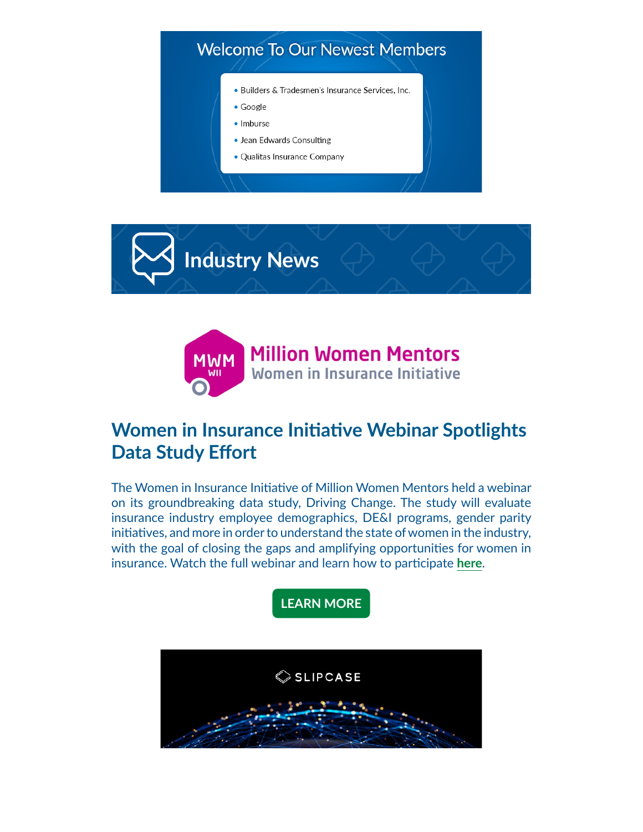





# **Women in Insurance Initiative Webinar Spotlights Data Study Effort**

The Women in Insurance Initiative of Million Women Mentors held a webinar on its groundbreaking data study, Driving Change. The study will evaluate insurance industry employee demographics, DE&I programs, gender parity initiatives, and more in order to understand the state of women in the industry, with the goal of closing the gaps and amplifying opportunities for women in insurance. Watch the full webinar and learn how to participate **[here](https://acord.createsend1.com/t/d-i-fluhiuy-l-f/)**.

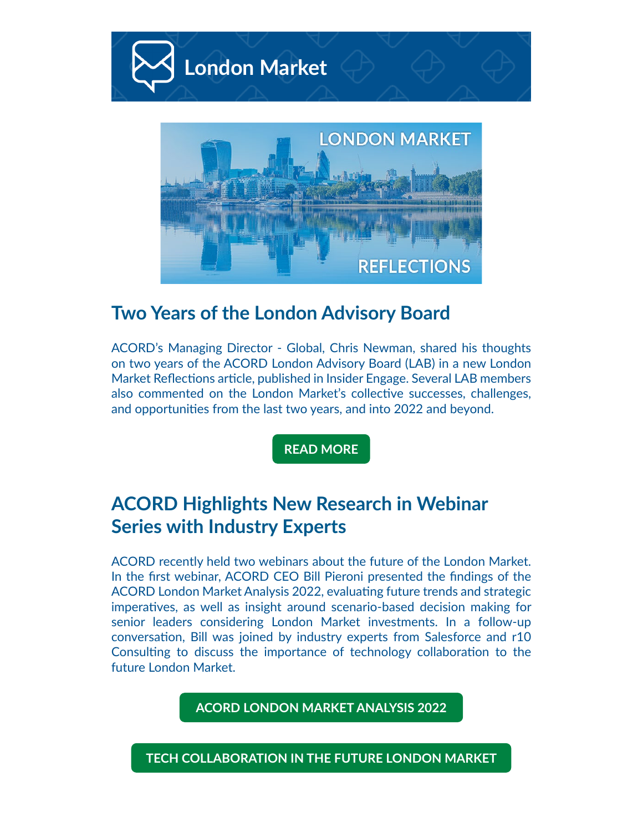

#### **Two Years of the London Advisory Board**

ACORD's Managing Director - Global, Chris Newman, shared his thoughts on two years of the ACORD London Advisory Board (LAB) in a new London Market Reflections article, published in Insider Engage. Several LAB members also commented on the London Market's collective successes, challenges, and opportunities from the last two years, and into 2022 and beyond.

**[READ MORE](https://acord.createsend1.com/t/d-i-fluhiuy-l-s/)**

## **ACORD Highlights New Research in Webinar Series with Industry Experts**

ACORD recently held two webinars about the future of the London Market. In the first webinar, ACORD CEO Bill Pieroni presented the findings of the ACORD London Market Analysis 2022, evaluating future trends and strategic imperatives, as well as insight around scenario-based decision making for senior leaders considering London Market investments. In a follow-up conversation, Bill was joined by industry experts from Salesforce and r10 Consulting to discuss the importance of technology collaboration to the future London Market.

**[ACORD LONDON MARKET ANALYSIS 2022](https://acord.createsend1.com/t/d-i-fluhiuy-l-g/)**

**[TECH COLLABORATION IN THE FUTURE LONDON MARKET](https://acord.createsend1.com/t/d-i-fluhiuy-l-w/)**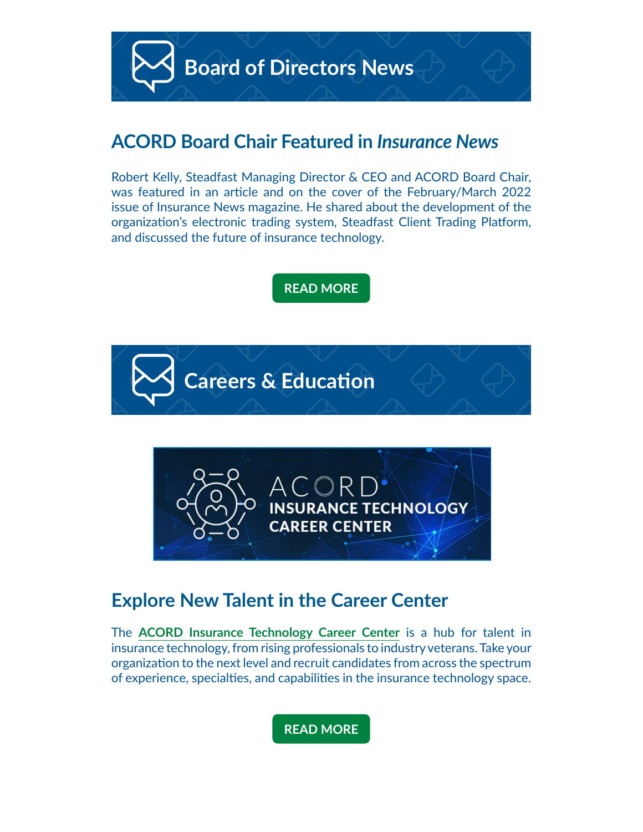

#### **ACORD Board Chair Featured in** *Insurance News*

Robert Kelly, Steadfast Managing Director & CEO and ACORD Board Chair, was featured in an article and on the cover of the February/March 2022 issue of Insurance News magazine. He shared about the development of the organization's electronic trading system, Steadfast Client Trading Platform, and discussed the future of insurance technology.

**[READ MORE](https://acord.createsend1.com/t/d-i-fluhiuy-l-yd/)**





### **Explore New Talent in the Career Center**

The **[ACORD Insurance Technology Career Center](https://acord.createsend1.com/t/d-i-fluhiuy-l-yk/)** is a hub for talent in insurance technology, from rising professionals to industry veterans. Take your organization to the next level and recruit candidates from across the spectrum of experience, specialties, and capabilities in the insurance technology space.

**[READ MORE](https://acord.createsend1.com/t/d-i-fluhiuy-l-yu/)**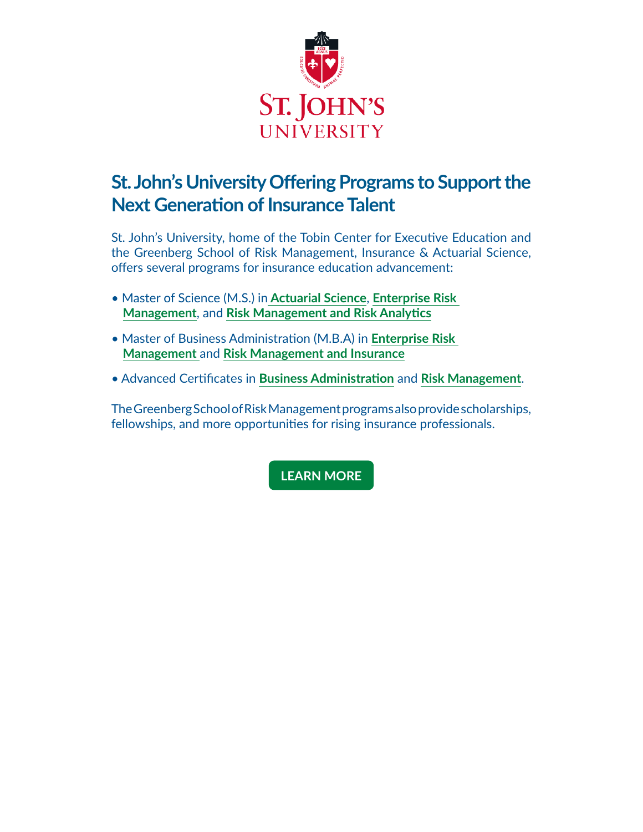

# **St. John's University Offering Programs to Support the Next Generation of Insurance Talent**

St. John's University, home of the Tobin Center for Executive Education and the Greenberg School of Risk Management, Insurance & Actuarial Science, offers several programs for insurance education advancement:

- Master of Science (M.S.) in **[Actuarial Science](https://acord.createsend1.com/t/d-i-fluhiuy-l-jr/)**, **[Enterprise Risk](https://acord.createsend1.com/t/d-i-fluhiuy-l-jy/)  [Management](https://acord.createsend1.com/t/d-i-fluhiuy-l-jy/)**, and **[Risk Management and Risk Analytics](https://acord.createsend1.com/t/d-i-fluhiuy-l-jj/)**
- Master of Business Administration (M.B.A) in **[Enterprise Risk](https://acord.createsend1.com/t/d-i-fluhiuy-l-jt/)  [Management](https://acord.createsend1.com/t/d-i-fluhiuy-l-jt/)** and **[Risk Management and Insurance](https://acord.createsend1.com/t/d-i-fluhiuy-l-ji/)**
- Advanced Certificates in **[Business Administration](https://acord.createsend1.com/t/d-i-fluhiuy-l-jd/)** and **[Risk Management](https://acord.createsend1.com/t/d-i-fluhiuy-l-jh/)**.

The Greenberg School of Risk Management programs also provide scholarships, fellowships, and more opportunities for rising insurance professionals.

#### **[LEARN MORE](https://acord.createsend1.com/t/d-i-fluhiuy-l-jk/)**